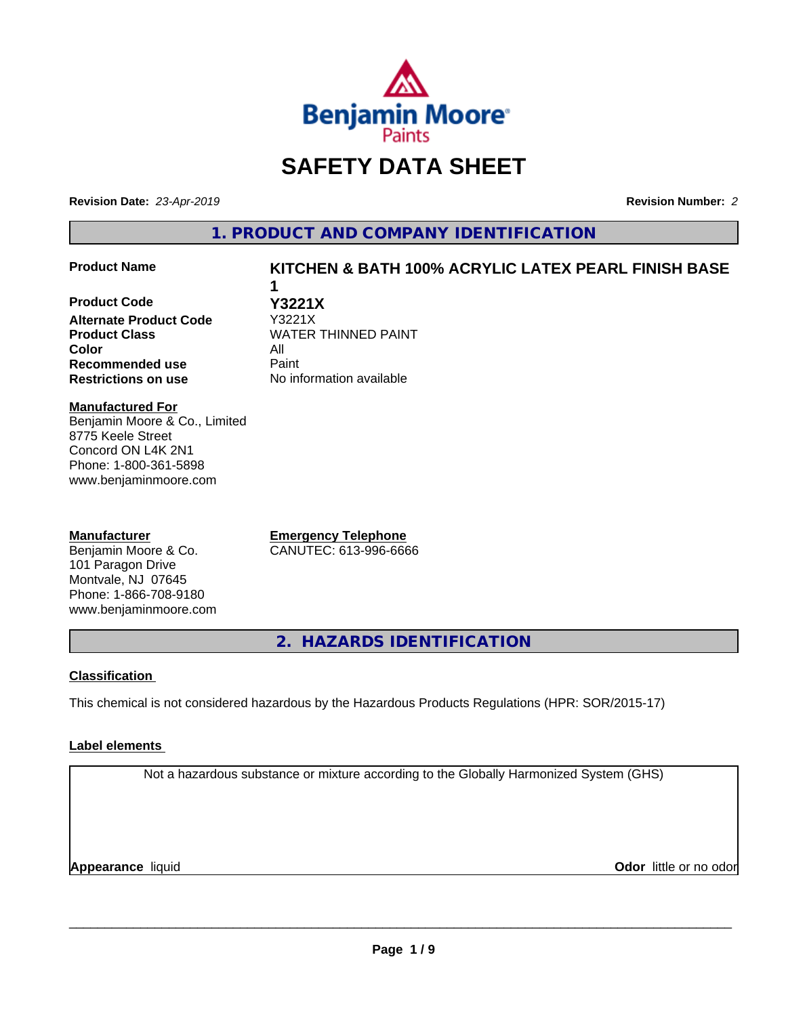

# **SAFETY DATA SHEET**

**Revision Date:** *23-Apr-2019* **Revision Number:** *2*

**1. PRODUCT AND COMPANY IDENTIFICATION**

### **Product Name KITCHEN & BATH 100% ACRYLIC LATEX PEARL FINISH BASE**

# **Product Code Y3221X Alternate Product Code Product Class WATER THINNED PAINT Color** All **Recommended use** Paint

**Restrictions on use** No information available

**1**

#### **Manufactured For**

Benjamin Moore & Co., Limited 8775 Keele Street Concord ON L4K 2N1 Phone: 1-800-361-5898 www.benjaminmoore.com

### **Manufacturer**

Benjamin Moore & Co. 101 Paragon Drive Montvale, NJ 07645 Phone: 1-866-708-9180 www.benjaminmoore.com

**Emergency Telephone** CANUTEC: 613-996-6666

**2. HAZARDS IDENTIFICATION**

### **Classification**

This chemical is not considered hazardous by the Hazardous Products Regulations (HPR: SOR/2015-17)

### **Label elements**

Not a hazardous substance or mixture according to the Globally Harmonized System (GHS)

**Appearance** liquid

**Odor** little or no odor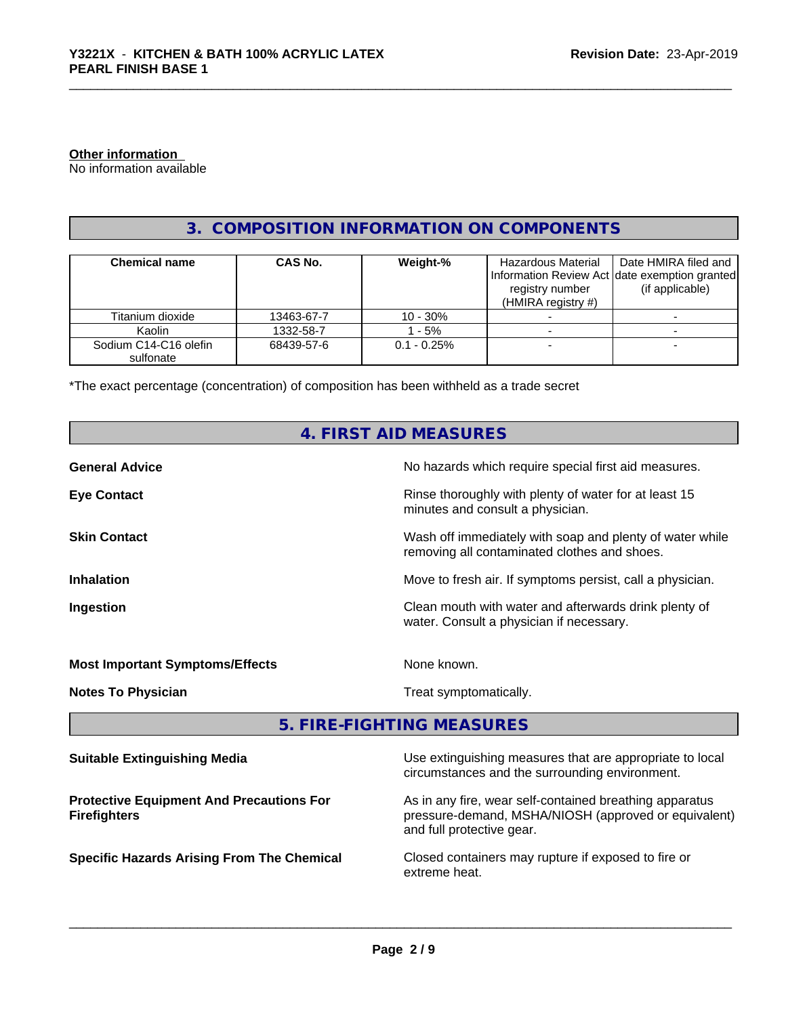#### **Other information**

No information available

# **3. COMPOSITION INFORMATION ON COMPONENTS**

| <b>Chemical name</b>               | <b>CAS No.</b> | Weight-%       | Hazardous Material<br>registry number<br>(HMIRA registry $#$ ) | Date HMIRA filed and<br>Information Review Act date exemption granted<br>(if applicable) |
|------------------------------------|----------------|----------------|----------------------------------------------------------------|------------------------------------------------------------------------------------------|
| Titanium dioxide                   | 13463-67-7     | $10 - 30\%$    |                                                                |                                                                                          |
| Kaolin                             | 1332-58-7      | - 5%           |                                                                |                                                                                          |
| Sodium C14-C16 olefin<br>sulfonate | 68439-57-6     | $0.1 - 0.25\%$ |                                                                |                                                                                          |

\*The exact percentage (concentration) of composition has been withheld as a trade secret

|                                                 | 4. FIRST AID MEASURES                                                                                      |
|-------------------------------------------------|------------------------------------------------------------------------------------------------------------|
| <b>General Advice</b>                           | No hazards which require special first aid measures.                                                       |
| <b>Eye Contact</b>                              | Rinse thoroughly with plenty of water for at least 15<br>minutes and consult a physician.                  |
| <b>Skin Contact</b>                             | Wash off immediately with soap and plenty of water while<br>removing all contaminated clothes and shoes.   |
| <b>Inhalation</b>                               | Move to fresh air. If symptoms persist, call a physician.                                                  |
| Ingestion                                       | Clean mouth with water and afterwards drink plenty of<br>water. Consult a physician if necessary.          |
| <b>Most Important Symptoms/Effects</b>          | None known.                                                                                                |
| <b>Notes To Physician</b>                       | Treat symptomatically.                                                                                     |
|                                                 | 5. FIRE-FIGHTING MEASURES                                                                                  |
| <b>Suitable Extinguishing Media</b>             | Use extinguishing measures that are appropriate to local<br>circumstances and the surrounding environment. |
| <b>Protective Equipment And Precautions For</b> | As in any fire, wear self-contained breathing apparatus                                                    |

**Firefighters**

As in any fire, wear self-contained breathing apparatus pressure-demand, MSHA/NIOSH (approved or equivalent) and full protective gear.

**Specific Hazards Arising From The Chemical Closed containers may rupture if exposed to fire or** extreme heat.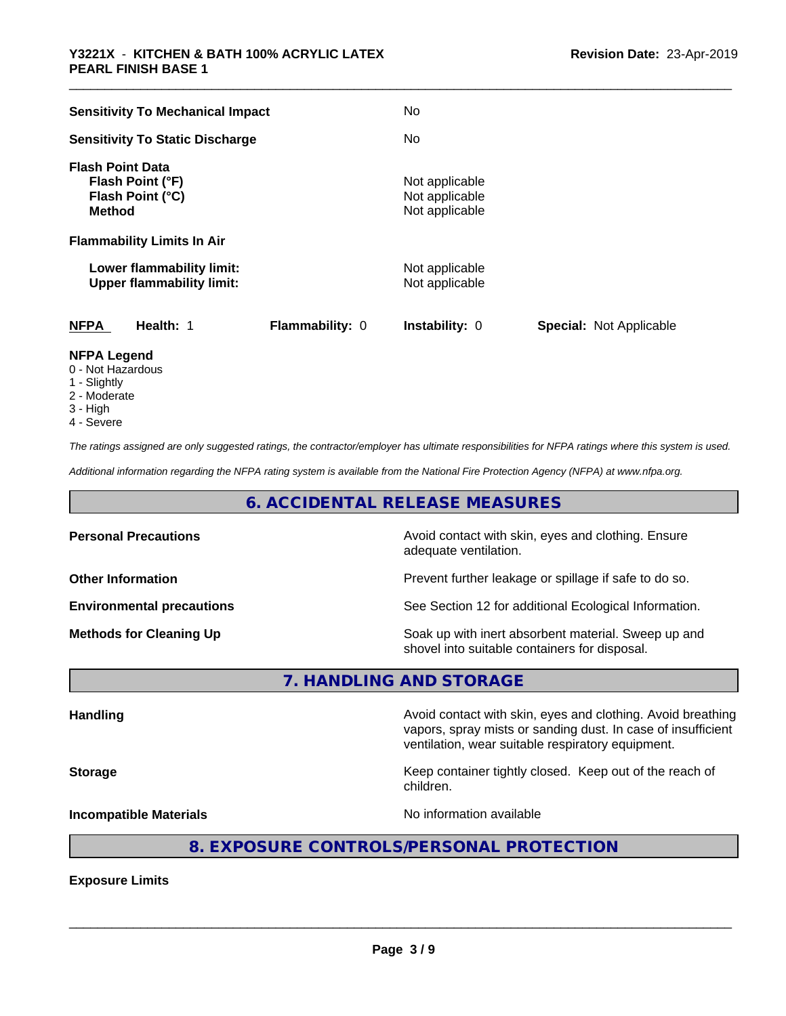| <b>Sensitivity To Mechanical Impact</b>                                          | <b>No</b>                                          |                                |
|----------------------------------------------------------------------------------|----------------------------------------------------|--------------------------------|
| <b>Sensitivity To Static Discharge</b>                                           | No                                                 |                                |
| <b>Flash Point Data</b><br>Flash Point (°F)<br>Flash Point (°C)<br><b>Method</b> | Not applicable<br>Not applicable<br>Not applicable |                                |
| <b>Flammability Limits In Air</b>                                                |                                                    |                                |
| Lower flammability limit:<br><b>Upper flammability limit:</b>                    | Not applicable<br>Not applicable                   |                                |
| <b>NFPA</b><br>Health: 1<br>Flammability: 0                                      | <b>Instability: 0</b>                              | <b>Special: Not Applicable</b> |
| NFPA Lagand                                                                      |                                                    |                                |

- **NFPA Legend** 0 - Not Hazardous
- 1 Slightly
- 2 Moderate
- 3 High
- 4 Severe

*The ratings assigned are only suggested ratings, the contractor/employer has ultimate responsibilities for NFPA ratings where this system is used.*

*Additional information regarding the NFPA rating system is available from the National Fire Protection Agency (NFPA) at www.nfpa.org.*

# **6. ACCIDENTAL RELEASE MEASURES**

| <b>Personal Precautions</b>      | Avoid contact with skin, eyes and clothing. Ensure<br>adequate ventilation.                          |
|----------------------------------|------------------------------------------------------------------------------------------------------|
| <b>Other Information</b>         | Prevent further leakage or spillage if safe to do so.                                                |
| <b>Environmental precautions</b> | See Section 12 for additional Ecological Information.                                                |
| <b>Methods for Cleaning Up</b>   | Soak up with inert absorbent material. Sweep up and<br>shovel into suitable containers for disposal. |

**7. HANDLING AND STORAGE**

Handling **Handling Avoid contact with skin, eyes and clothing. Avoid breathing Handling** vapors, spray mists or sanding dust. In case of insufficient ventilation, wear suitable respiratory equipment. **Storage Keep container tightly closed. Keep out of the reach of the reach of the reach of the reach of the reach of the reach of the reach of the reach of the reach of the reach of the reach of the reach of the reach of** children. **Incompatible Materials Incompatible Materials No information available** 

# **8. EXPOSURE CONTROLS/PERSONAL PROTECTION**

**Exposure Limits**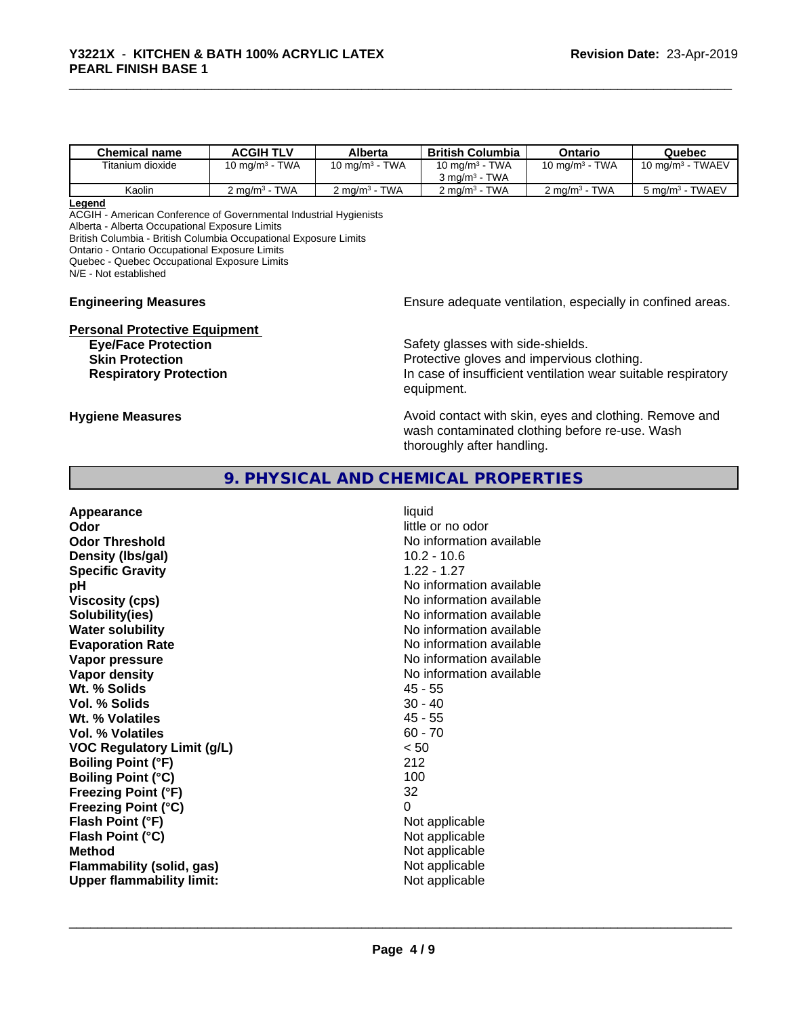| <b>Chemical name</b> | <b>ACGIH TLV</b>                     | Alberta                              | <b>British Columbia</b>            | Ontario                             | Quebec                      |
|----------------------|--------------------------------------|--------------------------------------|------------------------------------|-------------------------------------|-----------------------------|
| Titanium dioxide     | <b>TWA</b><br>10 mg/m <sup>3</sup> - | <b>TWA</b><br>10 ma/m <sup>3</sup> - | 10 mg/m $3$ - TWA                  | 10 mg/m $3$ - TWA                   | 10 mg/m $3$ - TWAEV         |
|                      |                                      |                                      | $3 \text{ ma/m}^3$ - TWA           |                                     |                             |
| Kaolin               | <b>TWA</b><br>$2 \text{ ma/m}^3$ -   | <b>TWA</b><br>$2 \text{ ma/m}^3$ -   | <b>TWA</b><br>$2 \text{ ma/m}^3$ - | <b>TWA</b><br>2 mg/m <sup>3</sup> - | 5 mg/m <sup>3</sup> - TWAEV |

#### **Legend**

ACGIH - American Conference of Governmental Industrial Hygienists

Alberta - Alberta Occupational Exposure Limits

British Columbia - British Columbia Occupational Exposure Limits

Ontario - Ontario Occupational Exposure Limits

Quebec - Quebec Occupational Exposure Limits

N/E - Not established

#### **Engineering Measures Ensure adequate ventilation, especially in confined areas.**

**Personal Protective Equipment Eye/Face Protection** Safety glasses with side-shields.

**Skin Protection**<br> **Respiratory Protection**<br> **Respiratory Protection**<br> **Protective gloves and impervious clothing.**<br>
In case of insufficient ventilation wear suita In case of insufficient ventilation wear suitable respiratory equipment.

**Hygiene Measures Avoid contact with skin, eyes and clothing. Remove and Hygiene Measures** and clothing. Remove and wash contaminated clothing before re-use. Wash thoroughly after handling.

# **9. PHYSICAL AND CHEMICAL PROPERTIES**

| Appearance                        | liquid                   |
|-----------------------------------|--------------------------|
| Odor                              | little or no odor        |
| <b>Odor Threshold</b>             | No information available |
| Density (Ibs/gal)                 | $10.2 - 10.6$            |
| <b>Specific Gravity</b>           | $1.22 - 1.27$            |
| рH                                | No information available |
| <b>Viscosity (cps)</b>            | No information available |
| Solubility(ies)                   | No information available |
| <b>Water solubility</b>           | No information available |
| <b>Evaporation Rate</b>           | No information available |
| Vapor pressure                    | No information available |
| Vapor density                     | No information available |
| Wt. % Solids                      | $45 - 55$                |
| Vol. % Solids                     | $30 - 40$                |
| Wt. % Volatiles                   | $45 - 55$                |
| <b>Vol. % Volatiles</b>           | $60 - 70$                |
| <b>VOC Regulatory Limit (g/L)</b> | < 50                     |
| <b>Boiling Point (°F)</b>         | 212                      |
| <b>Boiling Point (°C)</b>         | 100                      |
| Freezing Point (°F)               | 32                       |
| <b>Freezing Point (°C)</b>        | 0                        |
| Flash Point (°F)                  | Not applicable           |
| Flash Point (°C)                  | Not applicable           |
| <b>Method</b>                     | Not applicable           |
| Flammability (solid, gas)         | Not applicable           |
| <b>Upper flammability limit:</b>  | Not applicable           |
|                                   |                          |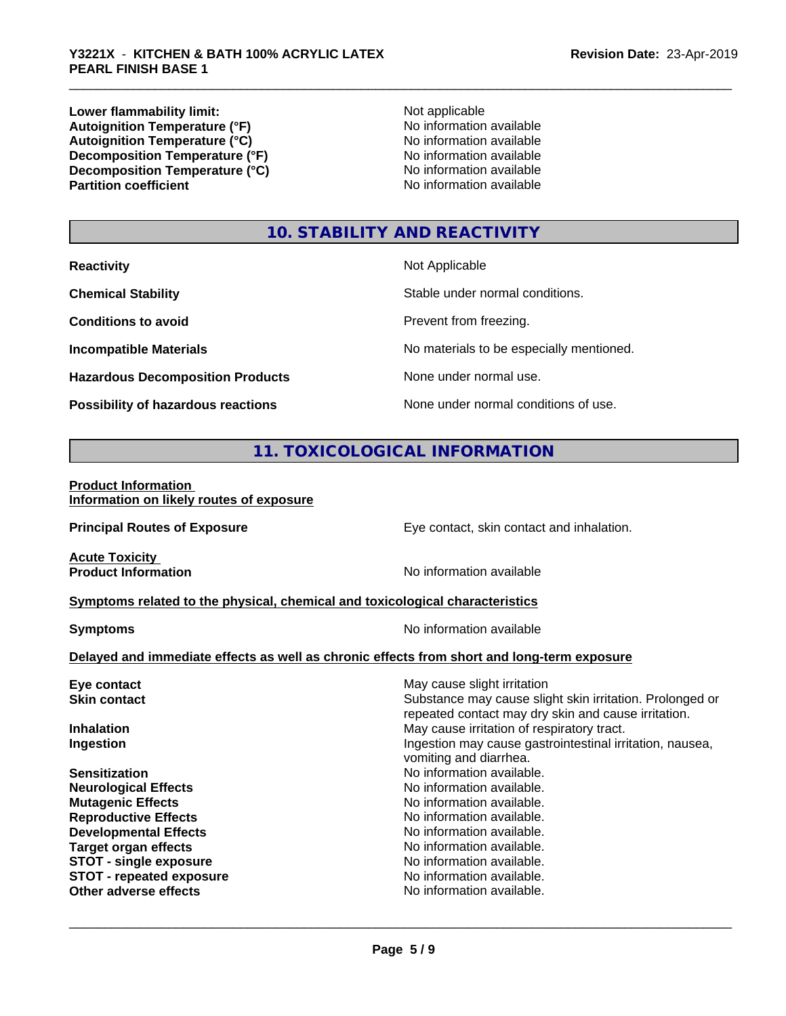**Lower flammability limit:**<br> **Autoignition Temperature (°F)** Not applicable havailable available **Autoignition Temperature (°F)**  $\qquad \qquad$  No information available<br> **Autoignition Temperature (°C)** No information available **Autoignition Temperature (°C)**<br> **Decomposition Temperature (°F)** No information available **Decomposition Temperature (°F) Decomposition Temperature (°C)** No information available<br> **Partition coefficient Partition available** 

**No information available** 

# **10. STABILITY AND REACTIVITY**

| <b>Reactivity</b>                         | Not Applicable                           |
|-------------------------------------------|------------------------------------------|
| <b>Chemical Stability</b>                 | Stable under normal conditions.          |
| <b>Conditions to avoid</b>                | Prevent from freezing.                   |
| <b>Incompatible Materials</b>             | No materials to be especially mentioned. |
| <b>Hazardous Decomposition Products</b>   | None under normal use.                   |
| <b>Possibility of hazardous reactions</b> | None under normal conditions of use.     |

# **11. TOXICOLOGICAL INFORMATION**

#### **Product Information Information on likely routes of exposure**

**Principal Routes of Exposure Exposure** Eye contact, skin contact and inhalation. **Acute Toxicity**<br>**Product Information No information available Symptoms related to the physical,chemical and toxicological characteristics Symptoms** No information available **Delayed and immediate effects as well as chronic effects from short and long-term exposure Eye contact Exercise Solution** May cause slight irritation **Skin contact** Substance may cause slight skin irritation. Prolonged or repeated contact may dry skin and cause irritation. **Inhalation** May cause irritation of respiratory tract. **Ingestion Ingestion Index is a linear in the line of the line of the line of the line of the line of the line of the line of the line of the line of the line of the line of the line of the line of the line of the line** vomiting and diarrhea. **Sensitization No information available.** No information available. **Neurological Effects** Noinformation available. **Mutagenic Effects No information available. Reproductive Effects No information available.** No information available. **Developmental Effects**<br> **Target organ effects**<br> **Target organ effects**<br> **No information available.** No information available.<br>No information available. **STOT** - single exposure<br> **STOT** - repeated exposure<br> **STOT** - repeated exposure **STOT** - repeated exposure **Other adverse effects** Noinformation available.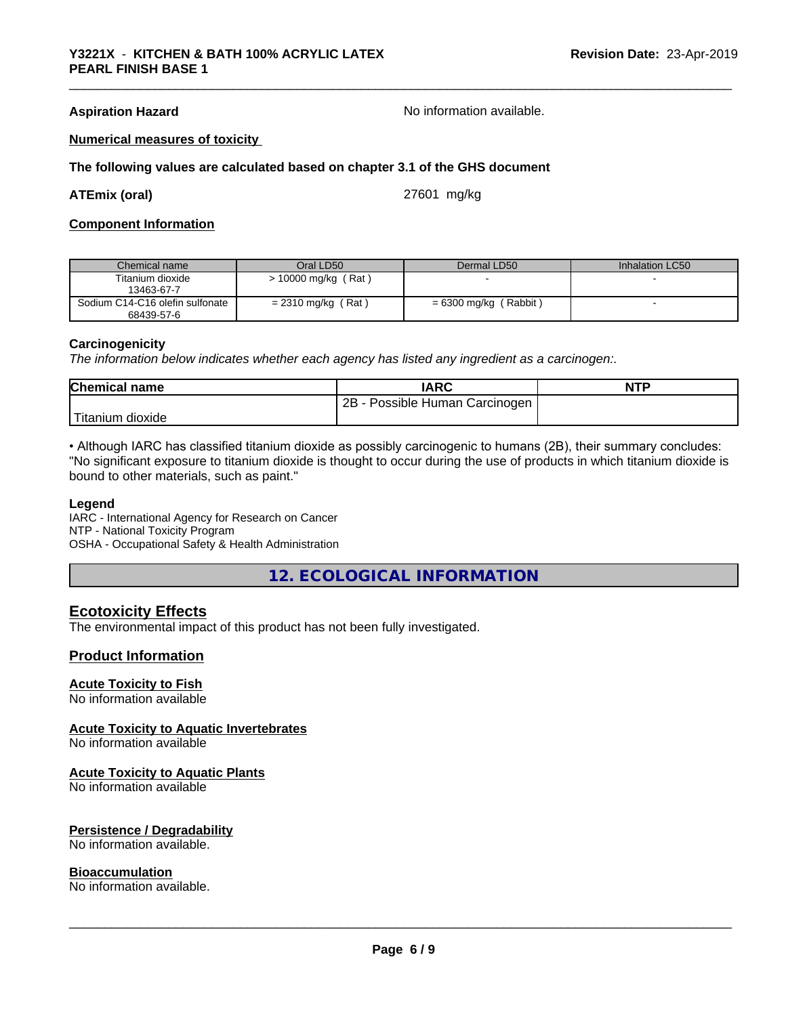**Aspiration Hazard No information available.** No information available.

#### **Numerical measures of toxicity**

#### **The following values are calculated based on chapter 3.1 of the GHS document**

**ATEmix (oral)** 27601 mg/kg

#### **Component Information**

| Chemical name                                 | Oral LD50             | Dermal LD50             | Inhalation LC50 |
|-----------------------------------------------|-----------------------|-------------------------|-----------------|
| Titanium dioxide<br>13463-67-7                | $> 10000$ mg/kg (Rat) |                         |                 |
| Sodium C14-C16 olefin sulfonate<br>68439-57-6 | $= 2310$ mg/kg (Rat)  | $= 6300$ mg/kg (Rabbit) |                 |

#### **Carcinogenicity**

*The information below indicateswhether each agency has listed any ingredient as a carcinogen:.*

| <b>Chemical name</b> | <b>IARC</b>                           | <b>NTP</b> |
|----------------------|---------------------------------------|------------|
|                      | Possible Human Carcinogen  <br>$2B -$ |            |
| Titanium dioxide     |                                       |            |

• Although IARC has classified titanium dioxide as possibly carcinogenic to humans (2B), their summary concludes: "No significant exposure to titanium dioxide is thought to occur during the use of products in which titanium dioxide is bound to other materials, such as paint."

#### **Legend**

IARC - International Agency for Research on Cancer NTP - National Toxicity Program OSHA - Occupational Safety & Health Administration

**12. ECOLOGICAL INFORMATION**

### **Ecotoxicity Effects**

The environmental impact of this product has not been fully investigated.

#### **Product Information**

# **Acute Toxicity to Fish**

No information available

#### **Acute Toxicity to Aquatic Invertebrates**

No information available

#### **Acute Toxicity to Aquatic Plants**

No information available

#### **Persistence / Degradability**

No information available.

#### **Bioaccumulation**

No information available.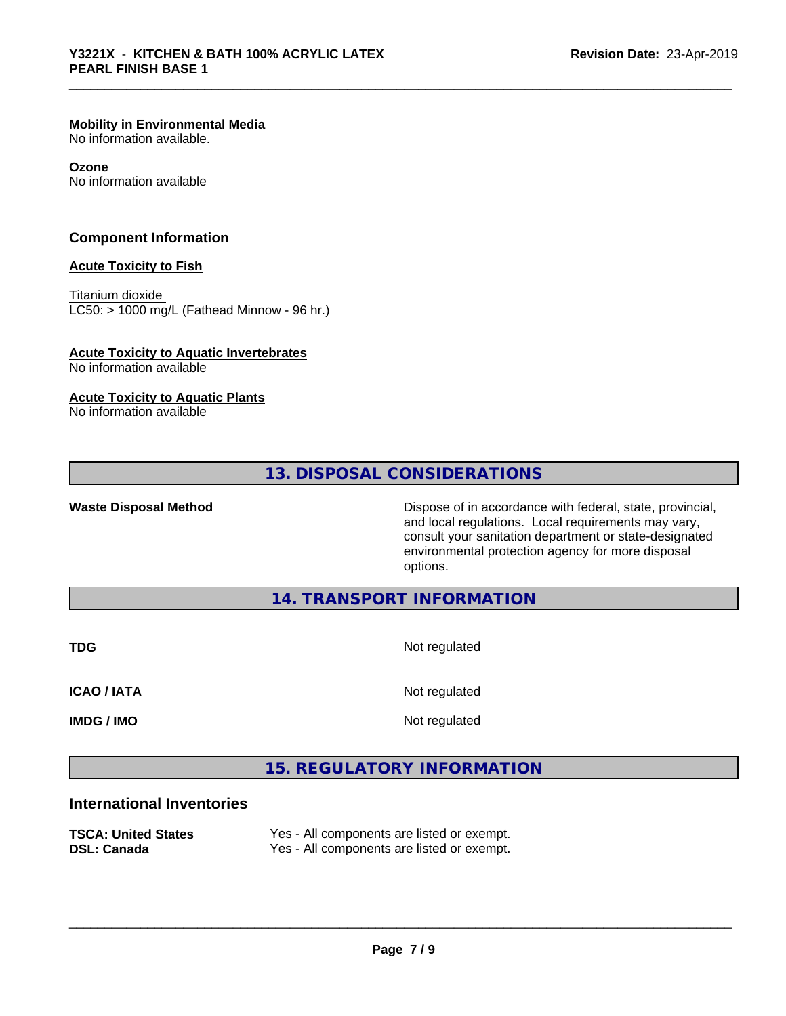#### **Mobility in Environmental Media**

No information available.

#### **Ozone**

No information available

#### **Component Information**

#### **Acute Toxicity to Fish**

Titanium dioxide  $LC50:$  > 1000 mg/L (Fathead Minnow - 96 hr.)

# **Acute Toxicity to Aquatic Invertebrates**

No information available

#### **Acute Toxicity to Aquatic Plants**

No information available

# **13. DISPOSAL CONSIDERATIONS**

Waste Disposal Method **Dispose of in accordance with federal, state, provincial,** and local regulations. Local requirements may vary, consult your sanitation department or state-designated environmental protection agency for more disposal options.

## **14. TRANSPORT INFORMATION**

**TDG** Not regulated

**ICAO / IATA** Not regulated

**IMDG / IMO** Not regulated

 $\overline{\phantom{a}}$  ,  $\overline{\phantom{a}}$  ,  $\overline{\phantom{a}}$  ,  $\overline{\phantom{a}}$  ,  $\overline{\phantom{a}}$  ,  $\overline{\phantom{a}}$  ,  $\overline{\phantom{a}}$  ,  $\overline{\phantom{a}}$  ,  $\overline{\phantom{a}}$  ,  $\overline{\phantom{a}}$  ,  $\overline{\phantom{a}}$  ,  $\overline{\phantom{a}}$  ,  $\overline{\phantom{a}}$  ,  $\overline{\phantom{a}}$  ,  $\overline{\phantom{a}}$  ,  $\overline{\phantom{a}}$ 

# **15. REGULATORY INFORMATION**

# **International Inventories**

| <b>TSCA: United States</b> | Yes - All components are listed or exempt. |
|----------------------------|--------------------------------------------|
| DSL: Canada                | Yes - All components are listed or exempt. |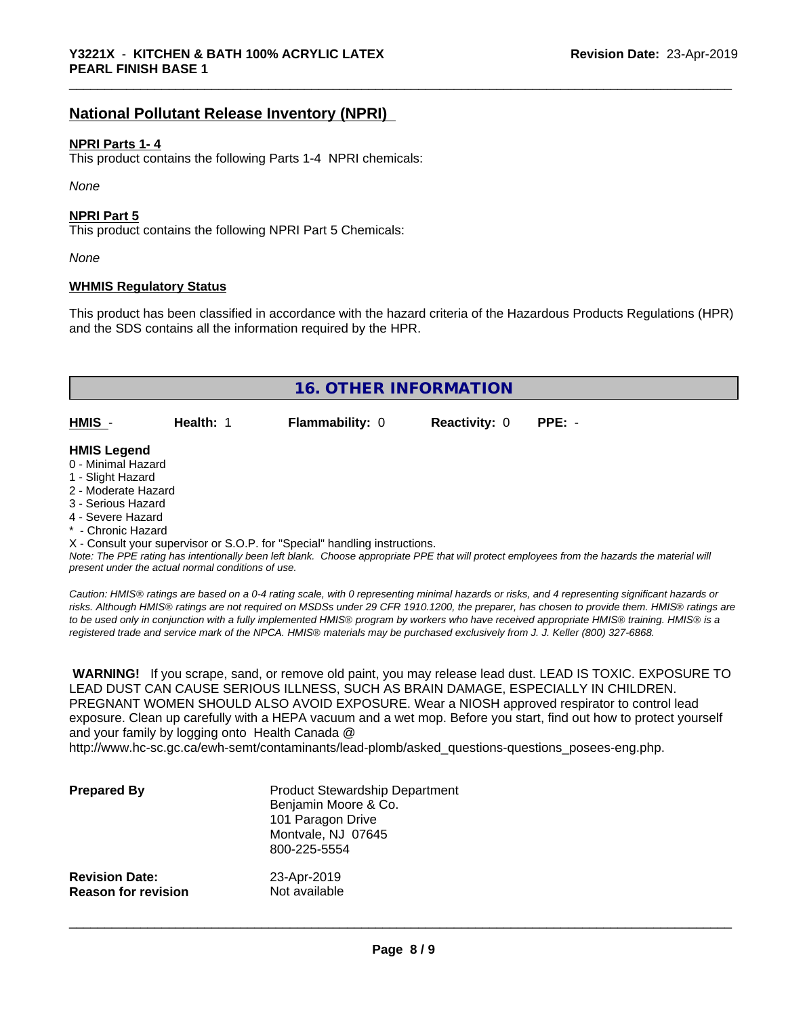# **National Pollutant Release Inventory (NPRI)**

#### **NPRI Parts 1- 4**

This product contains the following Parts 1-4 NPRI chemicals:

*None*

#### **NPRI Part 5**

This product contains the following NPRI Part 5 Chemicals:

*None*

#### **WHMIS Regulatory Status**

This product has been classified in accordance with the hazard criteria of the Hazardous Products Regulations (HPR) and the SDS contains all the information required by the HPR.

| <b>16. OTHER INFORMATION</b>                                                                                                                                                                                |           |                                                                            |                      |                                                                                                                                               |
|-------------------------------------------------------------------------------------------------------------------------------------------------------------------------------------------------------------|-----------|----------------------------------------------------------------------------|----------------------|-----------------------------------------------------------------------------------------------------------------------------------------------|
| HMIS -                                                                                                                                                                                                      | Health: 1 | <b>Flammability: 0</b>                                                     | <b>Reactivity: 0</b> | $PPE: -$                                                                                                                                      |
| <b>HMIS Legend</b><br>0 - Minimal Hazard<br>1 - Slight Hazard<br>2 - Moderate Hazard<br>3 - Serious Hazard<br>4 - Severe Hazard<br>* - Chronic Hazard<br>present under the actual normal conditions of use. |           | X - Consult your supervisor or S.O.P. for "Special" handling instructions. |                      | Note: The PPE rating has intentionally been left blank. Choose appropriate PPE that will protect employees from the hazards the material will |

*Caution: HMISÒ ratings are based on a 0-4 rating scale, with 0 representing minimal hazards or risks, and 4 representing significant hazards or risks. Although HMISÒ ratings are not required on MSDSs under 29 CFR 1910.1200, the preparer, has chosen to provide them. HMISÒ ratings are to be used only in conjunction with a fully implemented HMISÒ program by workers who have received appropriate HMISÒ training. HMISÒ is a registered trade and service mark of the NPCA. HMISÒ materials may be purchased exclusively from J. J. Keller (800) 327-6868.*

 **WARNING!** If you scrape, sand, or remove old paint, you may release lead dust. LEAD IS TOXIC. EXPOSURE TO LEAD DUST CAN CAUSE SERIOUS ILLNESS, SUCH AS BRAIN DAMAGE, ESPECIALLY IN CHILDREN. PREGNANT WOMEN SHOULD ALSO AVOID EXPOSURE.Wear a NIOSH approved respirator to control lead exposure. Clean up carefully with a HEPA vacuum and a wet mop. Before you start, find out how to protect yourself and your family by logging onto Health Canada @

http://www.hc-sc.gc.ca/ewh-semt/contaminants/lead-plomb/asked\_questions-questions\_posees-eng.php.

| <b>Prepared By</b>         | <b>Product Stewardship Department</b><br>Benjamin Moore & Co.<br>101 Paragon Drive<br>Montvale, NJ 07645<br>800-225-5554 |
|----------------------------|--------------------------------------------------------------------------------------------------------------------------|
| <b>Revision Date:</b>      | 23-Apr-2019                                                                                                              |
| <b>Reason for revision</b> | Not available                                                                                                            |